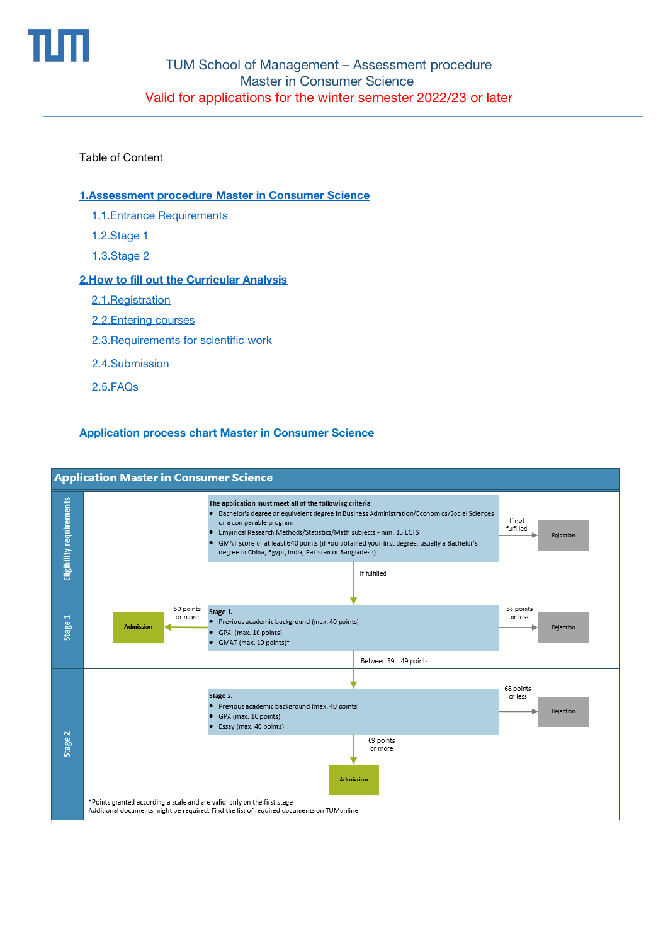

Table of Content

# **1.Assessment procedure [Master in Consumer Science](#page-1-0)**

- [1.1.Entrance Requirements](#page-1-1)
- [1.2.Stage 1](#page-1-2)
- [1.3.Stage 2](#page-2-0)

# **[2.How to fill out the Curricular Analysis](#page-3-0)**

- [2.1.Registration](#page-3-1)
- [2.2.Entering courses](#page-4-0)
- [2.3.Requirements for scientific work](#page-5-0)
- [2.4.Submission](#page-6-0)
- [2.5.FAQs](#page-6-1)

# **Application process chart Master in Consumer Science**

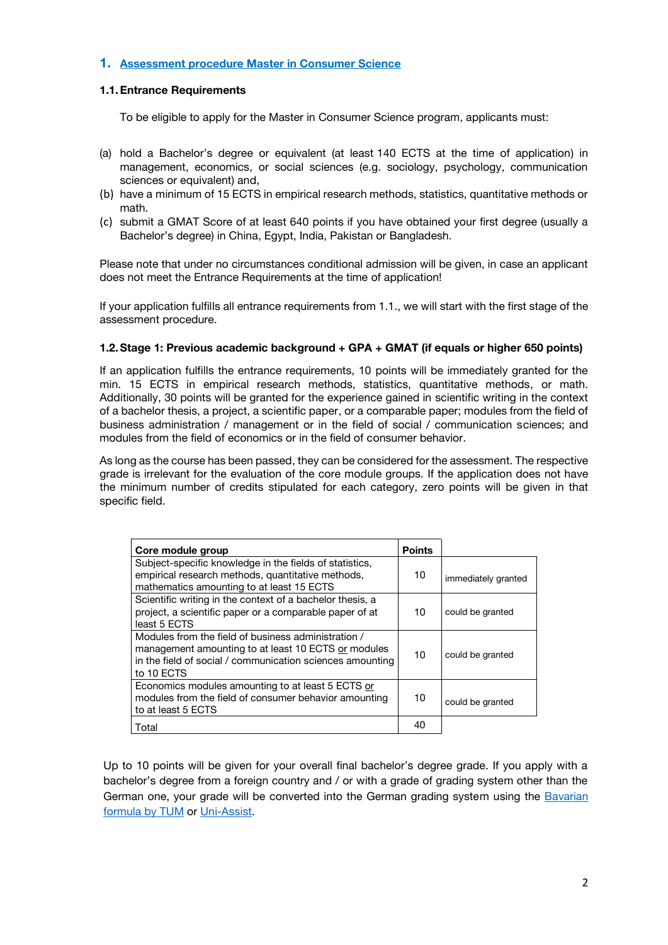## <span id="page-1-0"></span>**1. Assessment procedure Master in Consumer Science**

### <span id="page-1-1"></span>**1.1.Entrance Requirements**

To be eligible to apply for the Master in Consumer Science program, applicants must:

- (a) hold a Bachelor's degree or equivalent (at least 140 ECTS at the time of application) in management, economics, or social sciences (e.g. sociology, psychology, communication sciences or equivalent) and,
- (b) have a minimum of 15 ECTS in empirical research methods, statistics, quantitative methods or math.
- (c) submit a GMAT Score of at least 640 points if you have obtained your first degree (usually a Bachelor's degree) in China, Egypt, India, Pakistan or Bangladesh.

Please note that under no circumstances conditional admission will be given, in case an applicant does not meet the Entrance Requirements at the time of application!

If your application fulfills all entrance requirements from 1.1., we will start with the first stage of the assessment procedure.

### <span id="page-1-2"></span>**1.2.Stage 1: Previous academic background + GPA + GMAT (if equals or higher 650 points)**

If an application fulfills the entrance requirements, 10 points will be immediately granted for the min. 15 ECTS in empirical research methods, statistics, quantitative methods, or math. Additionally, 30 points will be granted for the experience gained in scientific writing in the context of a bachelor thesis, a project, a scientific paper, or a comparable paper; modules from the field of business administration / management or in the field of social / communication sciences; and modules from the field of economics or in the field of consumer behavior.

As long as the course has been passed, they can be considered for the assessment. The respective grade is irrelevant for the evaluation of the core module groups. If the application does not have the minimum number of credits stipulated for each category, zero points will be given in that specific field.

| Core module group                                                                                                                                                                     | <b>Points</b> |                     |
|---------------------------------------------------------------------------------------------------------------------------------------------------------------------------------------|---------------|---------------------|
| Subject-specific knowledge in the fields of statistics,<br>empirical research methods, quantitative methods,<br>mathematics amounting to at least 15 ECTS                             | 10            | immediately granted |
| Scientific writing in the context of a bachelor thesis, a<br>project, a scientific paper or a comparable paper of at<br>least 5 ECTS                                                  | 10            | could be granted    |
| Modules from the field of business administration /<br>management amounting to at least 10 ECTS or modules<br>in the field of social / communication sciences amounting<br>to 10 ECTS | 10            | could be granted    |
| Economics modules amounting to at least 5 ECTS or<br>modules from the field of consumer behavior amounting<br>to at least 5 ECTS                                                      | 10            | could be granted    |
| Total                                                                                                                                                                                 | 40            |                     |

Up to 10 points will be given for your overall final bachelor's degree grade. If you apply with a bachelor's degree from a foreign country and / or with a grade of grading system other than the German one, your grade will be converted into the German grading system using the [Bavarian](https://www.tum.de/en/studies/application/application-info-portal/grade-conversion-formula-for-grades-earned-outside-germany)  [formula by TUM](https://www.tum.de/en/studies/application/application-info-portal/grade-conversion-formula-for-grades-earned-outside-germany) or [Uni-Assist.](https://www.tum.de/en/studies/application/application-info-portal/uni-assist)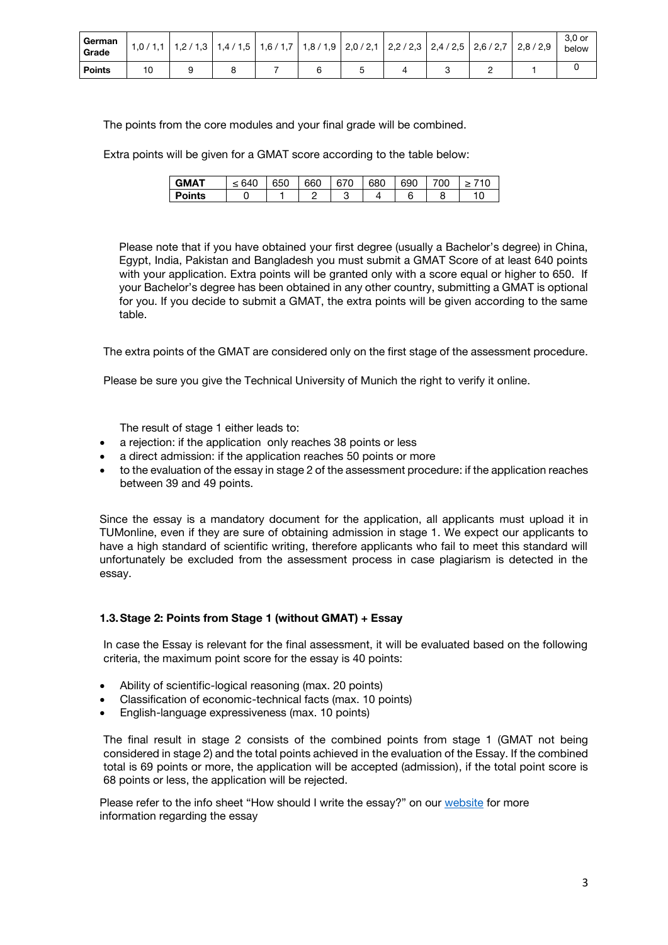| German<br>Grade | 1,0/1,1   1,2/1,3   1,4/1,5   1,6/1,7   1,8/1,9   2,0/2,1   2,2/2,3   2,4/2,5   2,6/2,7   2,8/2,9 |  |  |  |  | 3.0 or<br>below |
|-----------------|---------------------------------------------------------------------------------------------------|--|--|--|--|-----------------|
| <b>Points</b>   |                                                                                                   |  |  |  |  |                 |

The points from the core modules and your final grade will be combined.

Extra points will be given for a GMAT score according to the table below:

| <b>GMAT</b>   | 640 | <b>S50</b><br>n | 660 | n<br>ັ | 680 | $\sim$<br>69C |        |
|---------------|-----|-----------------|-----|--------|-----|---------------|--------|
| <b>Points</b> |     |                 | _   |        |     |               | C<br>υ |

Please note that if you have obtained your first degree (usually a Bachelor's degree) in China, Egypt, India, Pakistan and Bangladesh you must submit a GMAT Score of at least 640 points with your application. Extra points will be granted only with a score equal or higher to 650. If your Bachelor's degree has been obtained in any other country, submitting a GMAT is optional for you. If you decide to submit a GMAT, the extra points will be given according to the same table.

The extra points of the GMAT are considered only on the first stage of the assessment procedure.

Please be sure you give the Technical University of Munich the right to verify it online.

The result of stage 1 either leads to:

- a rejection: if the application only reaches 38 points or less
- a direct admission: if the application reaches 50 points or more
- to the evaluation of the essay in stage 2 of the assessment procedure: if the application reaches between 39 and 49 points.

Since the essay is a mandatory document for the application, all applicants must upload it in TUMonline, even if they are sure of obtaining admission in stage 1. We expect our applicants to have a high standard of scientific writing, therefore applicants who fail to meet this standard will unfortunately be excluded from the assessment process in case plagiarism is detected in the essay.

## <span id="page-2-0"></span>**1.3.Stage 2: Points from Stage 1 (without GMAT) + Essay**

In case the Essay is relevant for the final assessment, it will be evaluated based on the following criteria, the maximum point score for the essay is 40 points:

- Ability of scientific-logical reasoning (max. 20 points)
- Classification of economic-technical facts (max. 10 points)
- English-language expressiveness (max. 10 points)

The final result in stage 2 consists of the combined points from stage 1 (GMAT not being considered in stage 2) and the total points achieved in the evaluation of the Essay. If the combined total is 69 points or more, the application will be accepted (admission), if the total point score is 68 points or less, the application will be rejected.

Please refer to the info sheet "How should I write the essay?" on our [website](https://www.wi.tum.de/programs/master-management-technology/application/) for more information regarding the essay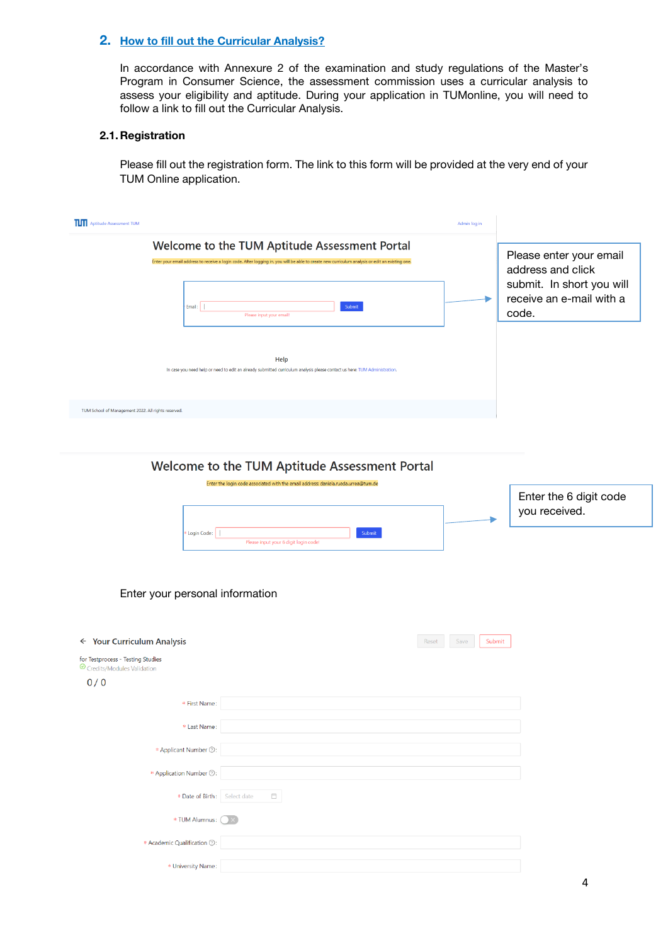# <span id="page-3-0"></span>**2. How to fill out the Curricular Analysis?**

In accordance with Annexure 2 of the examination and study regulations of the Master's Program in Consumer Science, the assessment commission uses a curricular analysis to assess your eligibility and aptitude. During your application in TUMonline, you will need to follow a link to fill out the Curricular Analysis.

### <span id="page-3-1"></span>**2.1.Registration**

Please fill out the registration form. The link to this form will be provided at the very end of your TUM Online application.

| <b>TLIT</b> Aptitude Assessment TUM                               |                                                                                                                                                                                                                                        | Admin log in            |                                                                                                                |  |
|-------------------------------------------------------------------|----------------------------------------------------------------------------------------------------------------------------------------------------------------------------------------------------------------------------------------|-------------------------|----------------------------------------------------------------------------------------------------------------|--|
| Email:                                                            | Welcome to the TUM Aptitude Assessment Portal<br>Enter your email address to receive a login code. After logging in, you will be able to create new curriculum analysis or edit an existing one.<br>Submit<br>Please input your email! |                         | Please enter your email<br>address and click<br>submit. In short you will<br>receive an e-mail with a<br>code. |  |
|                                                                   | Help<br>In case you need help or need to edit an already submitted curriculum analysis please contact us here: TUM Administration.                                                                                                     |                         |                                                                                                                |  |
| TUM School of Management 2022. All rights reserved.               |                                                                                                                                                                                                                                        |                         |                                                                                                                |  |
|                                                                   | Welcome to the TUM Aptitude Assessment Portal                                                                                                                                                                                          |                         |                                                                                                                |  |
|                                                                   | Enter the login code associated with the email address: daniela.rueda.urrea@tum.de                                                                                                                                                     |                         | Enter the 6 digit code<br>you received.                                                                        |  |
| Login Code:                                                       | Submit<br>Please input your 6 digit login code!                                                                                                                                                                                        |                         |                                                                                                                |  |
| Enter your personal information                                   |                                                                                                                                                                                                                                        |                         |                                                                                                                |  |
| ← Your Curriculum Analysis                                        |                                                                                                                                                                                                                                        | Reset<br>Submit<br>Save |                                                                                                                |  |
| for Testprocess - Testing Studies<br>⊙ Credits/Modules Validation |                                                                                                                                                                                                                                        |                         |                                                                                                                |  |
| 0/0                                                               |                                                                                                                                                                                                                                        |                         |                                                                                                                |  |
| * First Name:                                                     |                                                                                                                                                                                                                                        |                         |                                                                                                                |  |
| * Last Name:                                                      |                                                                                                                                                                                                                                        |                         |                                                                                                                |  |
| * Applicant Number 2:                                             |                                                                                                                                                                                                                                        |                         |                                                                                                                |  |
| * Application Number 2:                                           |                                                                                                                                                                                                                                        |                         |                                                                                                                |  |
| * Date of Birth:                                                  | $\overline{\phantom{a}}^{\scriptscriptstyle\text{H}\text{-}\text{B}}$<br>Select date                                                                                                                                                   |                         |                                                                                                                |  |
| * TUM Alumnus:                                                    |                                                                                                                                                                                                                                        |                         |                                                                                                                |  |
| * Academic Qualification 2:                                       |                                                                                                                                                                                                                                        |                         |                                                                                                                |  |
| * University Name:                                                |                                                                                                                                                                                                                                        |                         |                                                                                                                |  |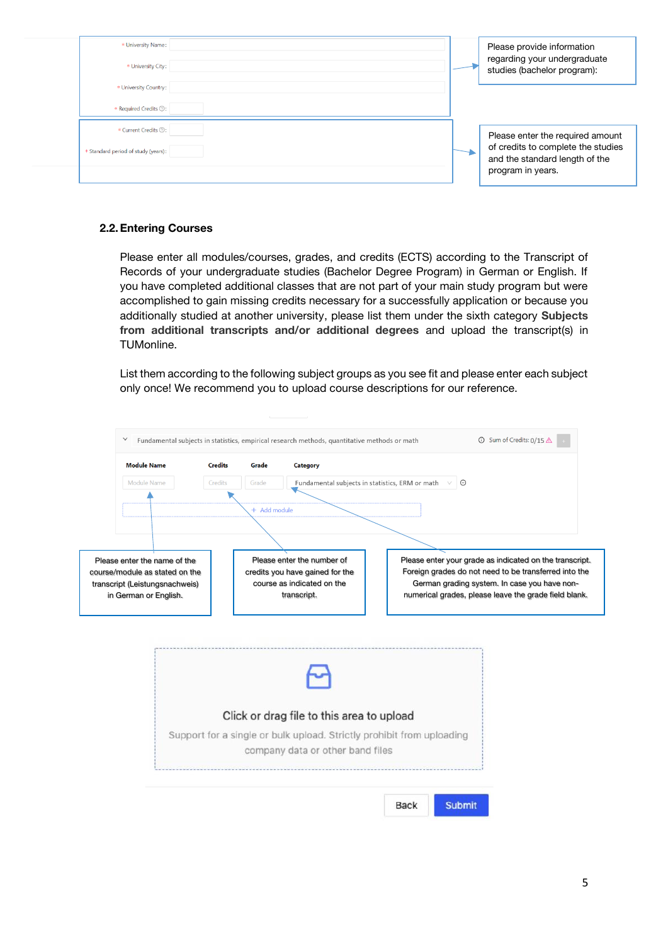| * University Name:<br>* University City:                    |  | Please provide information<br>regarding your undergraduate<br>studies (bachelor program):                                     |
|-------------------------------------------------------------|--|-------------------------------------------------------------------------------------------------------------------------------|
| * University Country:<br>* Required Credits 2:              |  |                                                                                                                               |
| * Current Credits 2:<br>* Standard period of study (years): |  | Please enter the required amount<br>of credits to complete the studies<br>and the standard length of the<br>program in years. |
|                                                             |  |                                                                                                                               |

## <span id="page-4-0"></span>**2.2.Entering Courses**

Please enter all modules/courses, grades, and credits (ECTS) according to the Transcript of Records of your undergraduate studies (Bachelor Degree Program) in German or English. If you have completed additional classes that are not part of your main study program but were accomplished to gain missing credits necessary for a successfully application or because you additionally studied at another university, please list them under the sixth category **Subjects from additional transcripts and/or additional degrees** and upload the transcript(s) in TUMonline.

List them according to the following subject groups as you see fit and please enter each subject only once! We recommend you to upload course descriptions for our reference.

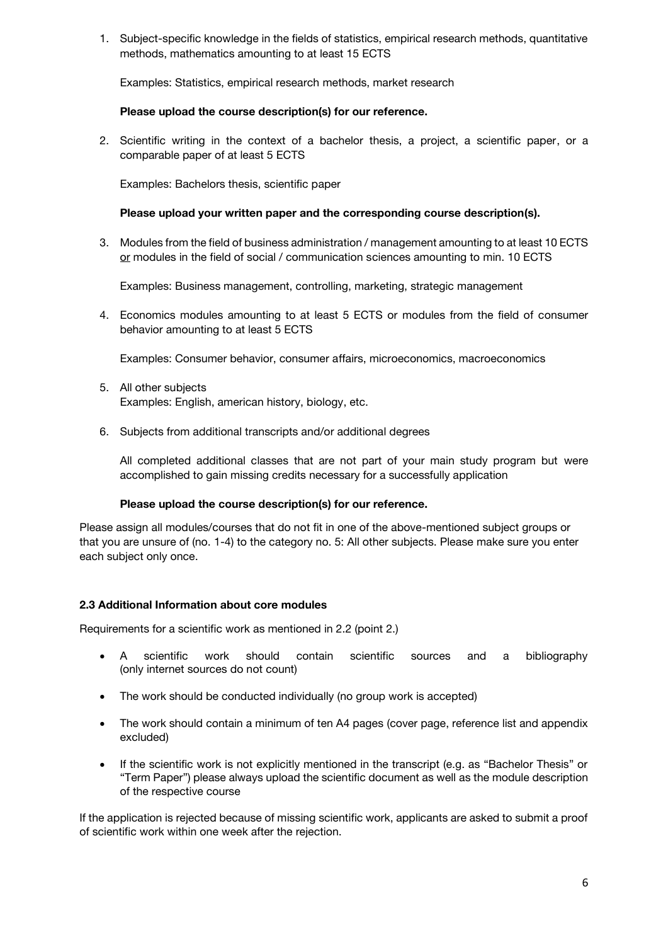1. Subject-specific knowledge in the fields of statistics, empirical research methods, quantitative methods, mathematics amounting to at least 15 ECTS

Examples: Statistics, empirical research methods, market research

### **Please upload the course description(s) for our reference.**

2. Scientific writing in the context of a bachelor thesis, a project, a scientific paper, or a comparable paper of at least 5 ECTS

Examples: Bachelors thesis, scientific paper

### **Please upload your written paper and the corresponding course description(s).**

3. Modules from the field of business administration / management amounting to at least 10 ECTS or modules in the field of social / communication sciences amounting to min. 10 ECTS

Examples: Business management, controlling, marketing, strategic management

4. Economics modules amounting to at least 5 ECTS or modules from the field of consumer behavior amounting to at least 5 ECTS

Examples: Consumer behavior, consumer affairs, microeconomics, macroeconomics

- 5. All other subjects Examples: English, american history, biology, etc.
- 6. Subjects from additional transcripts and/or additional degrees

All completed additional classes that are not part of your main study program but were accomplished to gain missing credits necessary for a successfully application

#### **Please upload the course description(s) for our reference.**

Please assign all modules/courses that do not fit in one of the above-mentioned subject groups or that you are unsure of (no. 1-4) to the category no. 5: All other subjects. Please make sure you enter each subject only once.

#### <span id="page-5-0"></span>**2.3 Additional Information about core modules**

Requirements for a scientific work as mentioned in 2.2 (point 2.)

- A scientific work should contain scientific sources and a bibliography (only internet sources do not count)
- The work should be conducted individually (no group work is accepted)
- The work should contain a minimum of ten A4 pages (cover page, reference list and appendix excluded)
- If the scientific work is not explicitly mentioned in the transcript (e.g. as "Bachelor Thesis" or "Term Paper") please always upload the scientific document as well as the module description of the respective course

If the application is rejected because of missing scientific work, applicants are asked to submit a proof of scientific work within one week after the rejection.